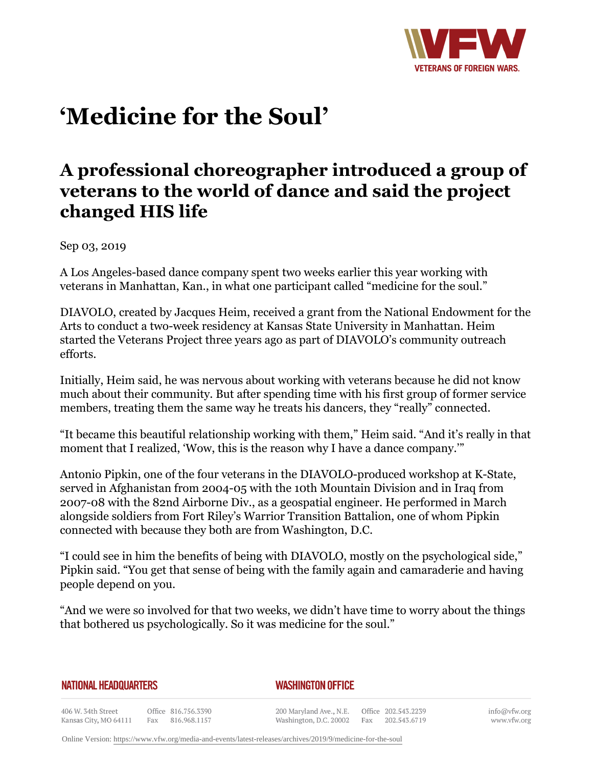

# **'Medicine for the Soul'**

# **A professional choreographer introduced a group of veterans to the world of dance and said the project changed HIS life**

Sep 03, 2019

A Los Angeles-based dance company spent two weeks earlier this year working with veterans in Manhattan, Kan., in what one participant called "medicine for the soul."

DIAVOLO, created by Jacques Heim, received a grant from the National Endowment for the Arts to conduct a two-week residency at Kansas State University in Manhattan. Heim started the Veterans Project three years ago as part of DIAVOLO's community outreach efforts.

Initially, Heim said, he was nervous about working with veterans because he did not know much about their community. But after spending time with his first group of former service members, treating them the same way he treats his dancers, they "really" connected.

"It became this beautiful relationship working with them," Heim said. "And it's really in that moment that I realized, 'Wow, this is the reason why I have a dance company.'"

Antonio Pipkin, one of the four veterans in the DIAVOLO-produced workshop at K-State, served in Afghanistan from 2004-05 with the 10th Mountain Division and in Iraq from 2007-08 with the 82nd Airborne Div., as a geospatial engineer. He performed in March alongside soldiers from Fort Riley's Warrior Transition Battalion, one of whom Pipkin connected with because they both are from Washington, D.C.

"I could see in him the benefits of being with DIAVOLO, mostly on the psychological side," Pipkin said. "You get that sense of being with the family again and camaraderie and having people depend on you.

"And we were so involved for that two weeks, we didn't have time to worry about the things that bothered us psychologically. So it was medicine for the soul."

#### **NATIONAL HEADQUARTERS**

### *WASHINGTON OFFICE*

406 W. 34th Street Office 816.756.3390 Kansas City, MO 64111 Fax 816.968.1157

200 Maryland Ave., N.E. Washington, D.C. 20002

Office 202.543.2239 Fax 202.543.6719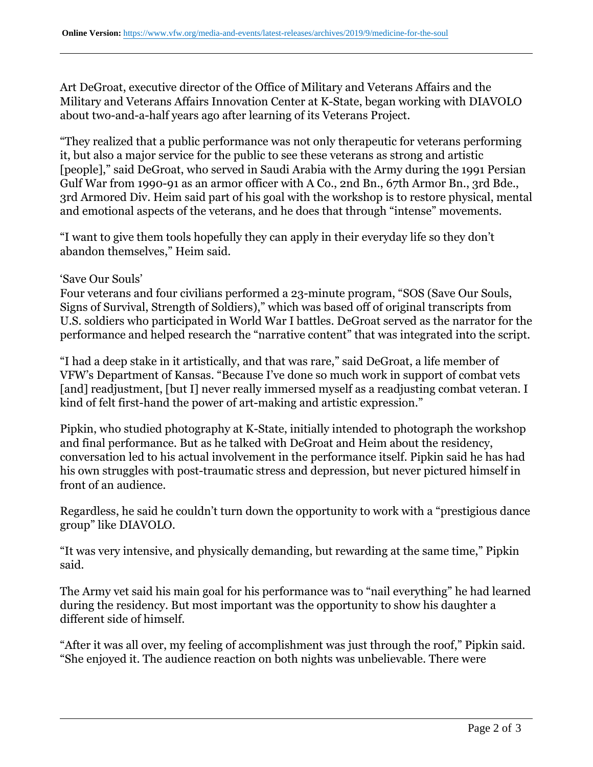Art DeGroat, executive director of the Office of Military and Veterans Affairs and the Military and Veterans Affairs Innovation Center at K-State, began working with DIAVOLO about two-and-a-half years ago after learning of its Veterans Project.

"They realized that a public performance was not only therapeutic for veterans performing it, but also a major service for the public to see these veterans as strong and artistic [people]," said DeGroat, who served in Saudi Arabia with the Army during the 1991 Persian Gulf War from 1990-91 as an armor officer with A Co., 2nd Bn., 67th Armor Bn., 3rd Bde., 3rd Armored Div. Heim said part of his goal with the workshop is to restore physical, mental and emotional aspects of the veterans, and he does that through "intense" movements.

"I want to give them tools hopefully they can apply in their everyday life so they don't abandon themselves," Heim said.

## 'Save Our Souls'

Four veterans and four civilians performed a 23-minute program, "SOS (Save Our Souls, Signs of Survival, Strength of Soldiers)," which was based off of original transcripts from U.S. soldiers who participated in World War I battles. DeGroat served as the narrator for the performance and helped research the "narrative content" that was integrated into the script.

"I had a deep stake in it artistically, and that was rare," said DeGroat, a life member of VFW's Department of Kansas. "Because I've done so much work in support of combat vets [and] readjustment, [but I] never really immersed myself as a readjusting combat veteran. I kind of felt first-hand the power of art-making and artistic expression."

Pipkin, who studied photography at K-State, initially intended to photograph the workshop and final performance. But as he talked with DeGroat and Heim about the residency, conversation led to his actual involvement in the performance itself. Pipkin said he has had his own struggles with post-traumatic stress and depression, but never pictured himself in front of an audience.

Regardless, he said he couldn't turn down the opportunity to work with a "prestigious dance group" like DIAVOLO.

"It was very intensive, and physically demanding, but rewarding at the same time," Pipkin said.

The Army vet said his main goal for his performance was to "nail everything" he had learned during the residency. But most important was the opportunity to show his daughter a different side of himself.

"After it was all over, my feeling of accomplishment was just through the roof," Pipkin said. "She enjoyed it. The audience reaction on both nights was unbelievable. There were